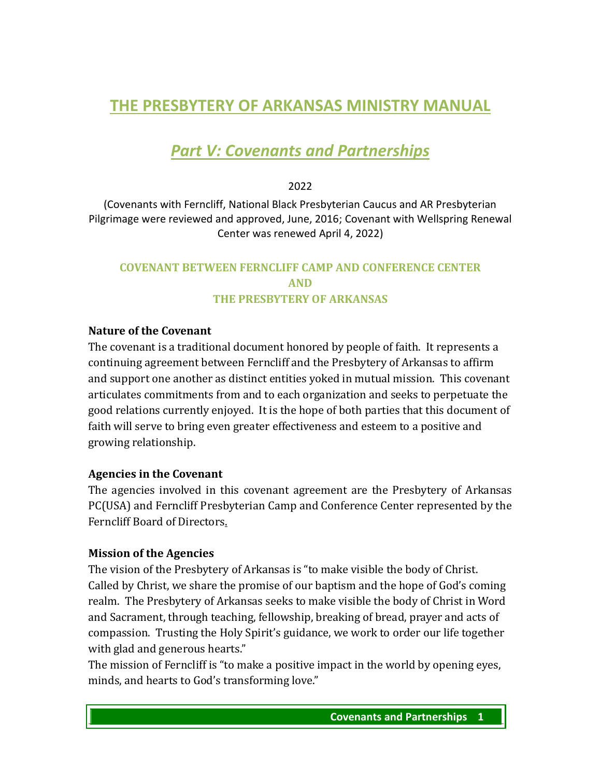# **THE PRESBYTERY OF ARKANSAS MINISTRY MANUAL**

# *Part V: Covenants and Partnerships*

2022

(Covenants with Ferncliff, National Black Presbyterian Caucus and AR Presbyterian Pilgrimage were reviewed and approved, June, 2016; Covenant with Wellspring Renewal Center was renewed April 4, 2022)

# **COVENANT BETWEEN FERNCLIFF CAMP AND CONFERENCE CENTER AND THE PRESBYTERY OF ARKANSAS**

#### **Nature of the Covenant**

The covenant is a traditional document honored by people of faith. It represents a continuing agreement between Ferncliff and the Presbytery of Arkansas to affirm and support one another as distinct entities yoked in mutual mission. This covenant articulates commitments from and to each organization and seeks to perpetuate the good relations currently enjoyed. It is the hope of both parties that this document of faith will serve to bring even greater effectiveness and esteem to a positive and growing relationship.

#### **Agencies in the Covenant**

The agencies involved in this covenant agreement are the Presbytery of Arkansas PC(USA) and Ferncliff Presbyterian Camp and Conference Center represented by the Ferncliff Board of Directors.

#### **Mission of the Agencies**

The vision of the Presbytery of Arkansas is "to make visible the body of Christ. Called by Christ, we share the promise of our baptism and the hope of God's coming realm. The Presbytery of Arkansas seeks to make visible the body of Christ in Word and Sacrament, through teaching, fellowship, breaking of bread, prayer and acts of compassion. Trusting the Holy Spirit's guidance, we work to order our life together with glad and generous hearts."

The mission of Ferncliff is "to make a positive impact in the world by opening eyes, minds, and hearts to God's transforming love."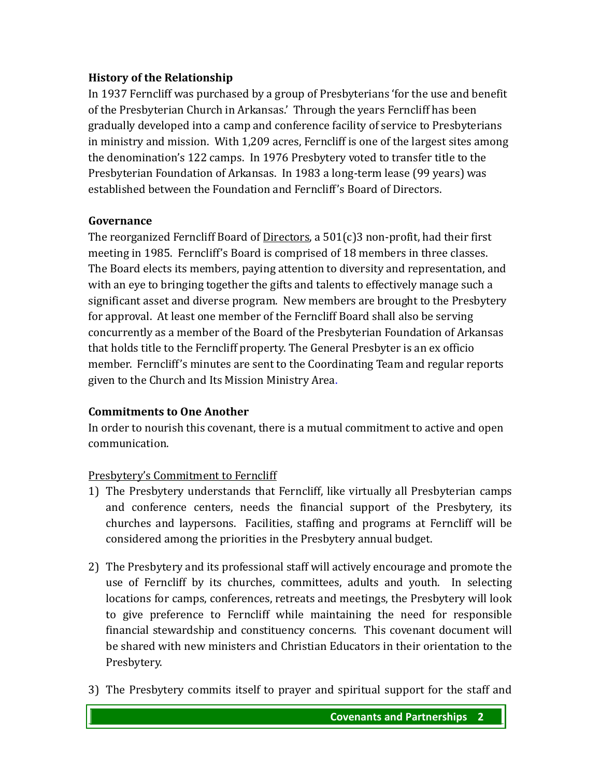#### **History of the Relationship**

In 1937 Ferncliff was purchased by a group of Presbyterians 'for the use and benefit of the Presbyterian Church in Arkansas.' Through the years Ferncliff has been gradually developed into a camp and conference facility of service to Presbyterians in ministry and mission. With 1,209 acres, Ferncliff is one of the largest sites among the denomination's 122 camps. In 1976 Presbytery voted to transfer title to the Presbyterian Foundation of Arkansas. In 1983 a long-term lease (99 years) was established between the Foundation and Ferncliff's Board of Directors.

### **Governance**

The reorganized Ferncliff Board of  $Directions$ , a 501(c)3 non-profit, had their first</u> meeting in 1985. Ferncliff's Board is comprised of 18 members in three classes. The Board elects its members, paying attention to diversity and representation, and with an eye to bringing together the gifts and talents to effectively manage such a significant asset and diverse program. New members are brought to the Presbytery for approval. At least one member of the Ferncliff Board shall also be serving concurrently as a member of the Board of the Presbyterian Foundation of Arkansas that holds title to the Ferncliff property. The General Presbyter is an ex officio member. Ferncliff's minutes are sent to the Coordinating Team and regular reports given to the Church and Its Mission Ministry Area.

#### **Commitments to One Another**

In order to nourish this covenant, there is a mutual commitment to active and open communication.

# Presbytery's Commitment to Ferncliff

- 1) The Presbytery understands that Ferncliff, like virtually all Presbyterian camps and conference centers, needs the financial support of the Presbytery, its churches and laypersons. Facilities, staffing and programs at Ferncliff will be considered among the priorities in the Presbytery annual budget.
- 2) The Presbytery and its professional staff will actively encourage and promote the use of Ferncliff by its churches, committees, adults and youth. In selecting locations for camps, conferences, retreats and meetings, the Presbytery will look to give preference to Ferncliff while maintaining the need for responsible financial stewardship and constituency concerns. This covenant document will be shared with new ministers and Christian Educators in their orientation to the Presbytery.
- 3) The Presbytery commits itself to prayer and spiritual support for the staff and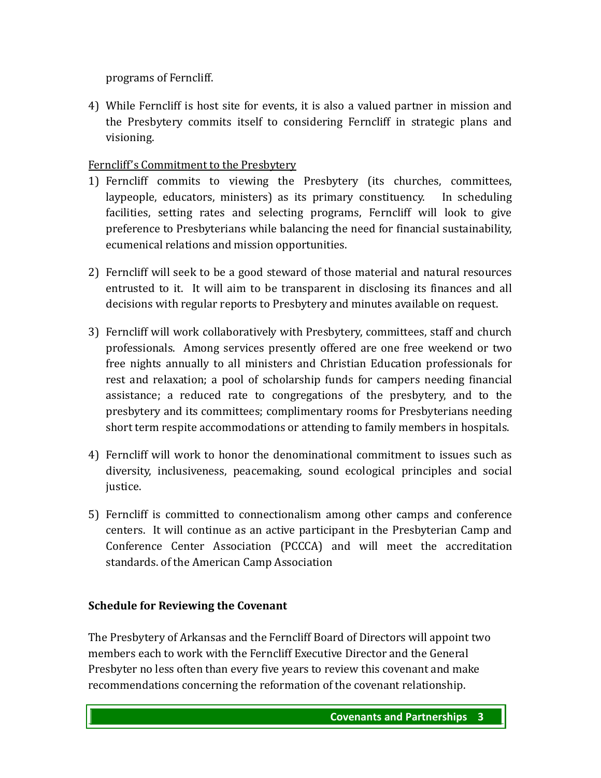programs of Ferncliff.

4) While Ferncliff is host site for events, it is also a valued partner in mission and the Presbytery commits itself to considering Ferncliff in strategic plans and visioning.

# Ferncliff's Commitment to the Presbytery

- 1) Ferncliff commits to viewing the Presbytery (its churches, committees, laypeople, educators, ministers) as its primary constituency. In scheduling facilities, setting rates and selecting programs, Ferncliff will look to give preference to Presbyterians while balancing the need for financial sustainability, ecumenical relations and mission opportunities.
- 2) Ferncliff will seek to be a good steward of those material and natural resources entrusted to it. It will aim to be transparent in disclosing its finances and all decisions with regular reports to Presbytery and minutes available on request.
- 3) Ferncliff will work collaboratively with Presbytery, committees, staff and church professionals. Among services presently offered are one free weekend or two free nights annually to all ministers and Christian Education professionals for rest and relaxation; a pool of scholarship funds for campers needing financial assistance; a reduced rate to congregations of the presbytery, and to the presbytery and its committees; complimentary rooms for Presbyterians needing short term respite accommodations or attending to family members in hospitals.
- 4) Ferncliff will work to honor the denominational commitment to issues such as diversity, inclusiveness, peacemaking, sound ecological principles and social justice.
- 5) Ferncliff is committed to connectionalism among other camps and conference centers. It will continue as an active participant in the Presbyterian Camp and Conference Center Association (PCCCA) and will meet the accreditation standards. of the American Camp Association

# **Schedule for Reviewing the Covenant**

The Presbytery of Arkansas and the Ferncliff Board of Directors will appoint two members each to work with the Ferncliff Executive Director and the General Presbyter no less often than every five years to review this covenant and make recommendations concerning the reformation of the covenant relationship.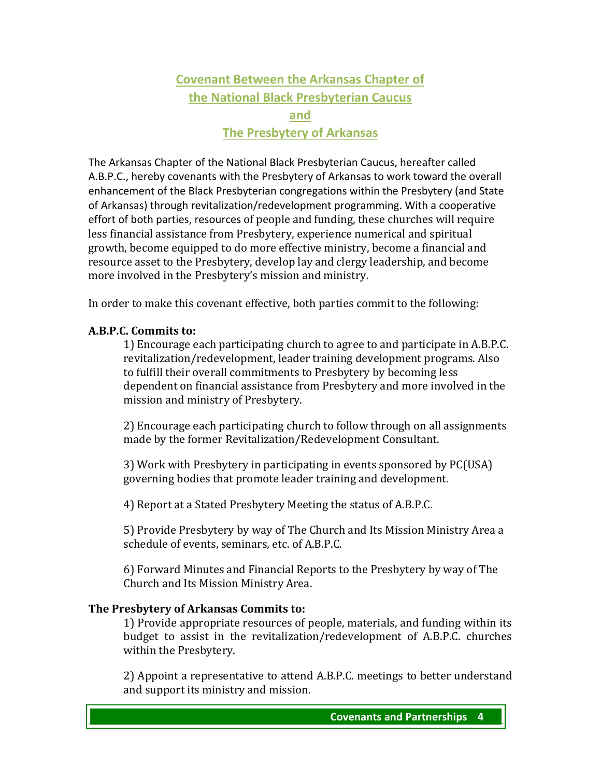# **Covenant Between the Arkansas Chapter of the National Black Presbyterian Caucus and The Presbytery of Arkansas**

The Arkansas Chapter of the National Black Presbyterian Caucus, hereafter called A.B.P.C., hereby covenants with the Presbytery of Arkansas to work toward the overall enhancement of the Black Presbyterian congregations within the Presbytery (and State of Arkansas) through revitalization/redevelopment programming. With a cooperative effort of both parties, resources of people and funding, these churches will require less financial assistance from Presbytery, experience numerical and spiritual growth, become equipped to do more effective ministry, become a financial and resource asset to the Presbytery, develop lay and clergy leadership, and become more involved in the Presbytery's mission and ministry.

In order to make this covenant effective, both parties commit to the following:

#### **A.B.P.C. Commits to:**

1) Encourage each participating church to agree to and participate in A.B.P.C. revitalization/redevelopment, leader training development programs. Also to fulfill their overall commitments to Presbytery by becoming less dependent on financial assistance from Presbytery and more involved in the mission and ministry of Presbytery.

2) Encourage each participating church to follow through on all assignments made by the former Revitalization/Redevelopment Consultant.

3) Work with Presbytery in participating in events sponsored by PC(USA) governing bodies that promote leader training and development.

4) Report at a Stated Presbytery Meeting the status of A.B.P.C.

5) Provide Presbytery by way of The Church and Its Mission Ministry Area a schedule of events, seminars, etc. of A.B.P.C.

6) Forward Minutes and Financial Reports to the Presbytery by way of The Church and Its Mission Ministry Area.

#### **The Presbytery of Arkansas Commits to:**

1) Provide appropriate resources of people, materials, and funding within its budget to assist in the revitalization/redevelopment of A.B.P.C. churches within the Presbytery.

2) Appoint a representative to attend A.B.P.C. meetings to better understand and support its ministry and mission.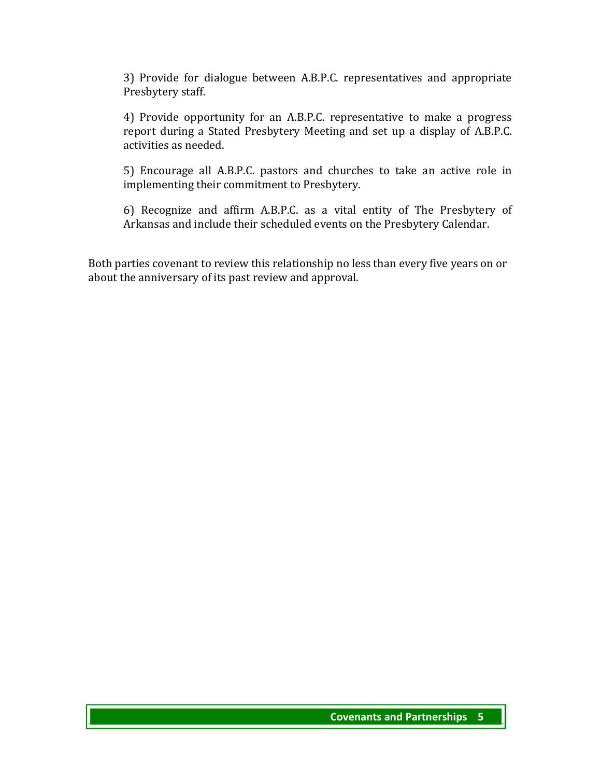3) Provide for dialogue between A.B.P.C. representatives and appropriate Presbytery staff.

4) Provide opportunity for an A.B.P.C. representative to make a progress report during a Stated Presbytery Meeting and set up a display of A.B.P.C. activities as needed.

5) Encourage all A.B.P.C. pastors and churches to take an active role in implementing their commitment to Presbytery.

6) Recognize and affirm A.B.P.C. as a vital entity of The Presbytery of Arkansas and include their scheduled events on the Presbytery Calendar.

Both parties covenant to review this relationship no less than every five years on or about the anniversary of its past review and approval.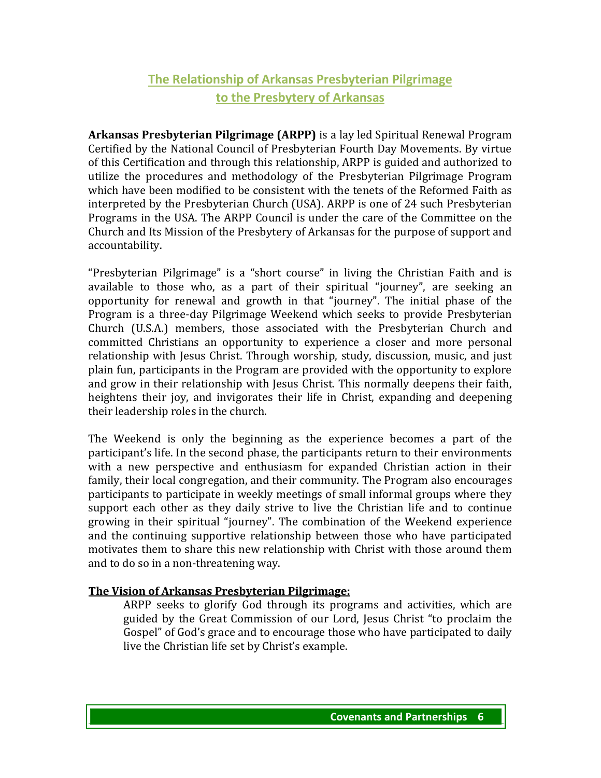# **The Relationship of Arkansas Presbyterian Pilgrimage to the Presbytery of Arkansas**

**Arkansas Presbyterian Pilgrimage (ARPP)** is a lay led Spiritual Renewal Program Certified by the National Council of Presbyterian Fourth Day Movements. By virtue of this Certification and through this relationship, ARPP is guided and authorized to utilize the procedures and methodology of the Presbyterian Pilgrimage Program which have been modified to be consistent with the tenets of the Reformed Faith as interpreted by the Presbyterian Church (USA). ARPP is one of 24 such Presbyterian Programs in the USA. The ARPP Council is under the care of the Committee on the Church and Its Mission of the Presbytery of Arkansas for the purpose of support and accountability.

"Presbyterian Pilgrimage" is a "short course" in living the Christian Faith and is available to those who, as a part of their spiritual "journey", are seeking an opportunity for renewal and growth in that "journey". The initial phase of the Program is a three-day Pilgrimage Weekend which seeks to provide Presbyterian Church (U.S.A.) members, those associated with the Presbyterian Church and committed Christians an opportunity to experience a closer and more personal relationship with Jesus Christ. Through worship, study, discussion, music, and just plain fun, participants in the Program are provided with the opportunity to explore and grow in their relationship with Jesus Christ. This normally deepens their faith, heightens their joy, and invigorates their life in Christ, expanding and deepening their leadership roles in the church.

The Weekend is only the beginning as the experience becomes a part of the participant's life. In the second phase, the participants return to their environments with a new perspective and enthusiasm for expanded Christian action in their family, their local congregation, and their community. The Program also encourages participants to participate in weekly meetings of small informal groups where they support each other as they daily strive to live the Christian life and to continue growing in their spiritual "journey". The combination of the Weekend experience and the continuing supportive relationship between those who have participated motivates them to share this new relationship with Christ with those around them and to do so in a non-threatening way.

#### **The Vision of Arkansas Presbyterian Pilgrimage:**

ARPP seeks to glorify God through its programs and activities, which are guided by the Great Commission of our Lord, Jesus Christ "to proclaim the Gospel" of God's grace and to encourage those who have participated to daily live the Christian life set by Christ's example.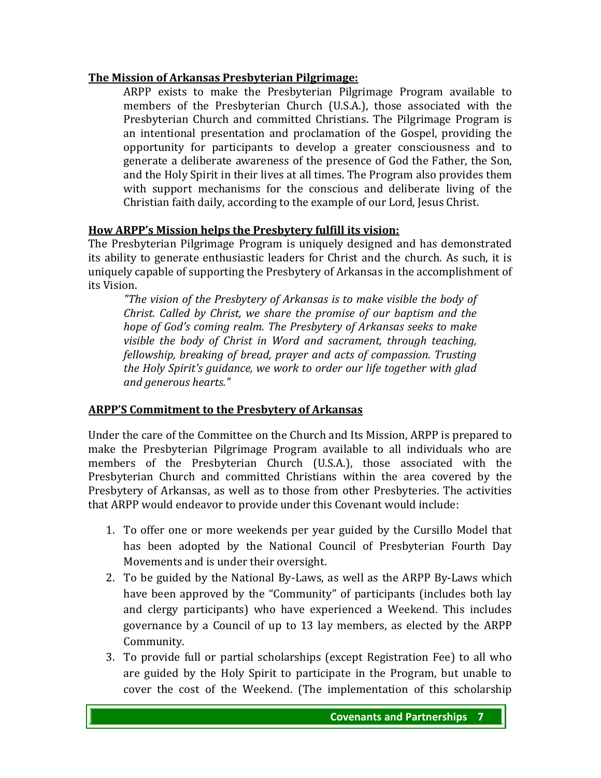#### **The Mission of Arkansas Presbyterian Pilgrimage:**

ARPP exists to make the Presbyterian Pilgrimage Program available to members of the Presbyterian Church (U.S.A.), those associated with the Presbyterian Church and committed Christians. The Pilgrimage Program is an intentional presentation and proclamation of the Gospel, providing the opportunity for participants to develop a greater consciousness and to generate a deliberate awareness of the presence of God the Father, the Son, and the Holy Spirit in their lives at all times. The Program also provides them with support mechanisms for the conscious and deliberate living of the Christian faith daily, according to the example of our Lord, Jesus Christ.

#### **How ARPP's Mission helps the Presbytery fulfill its vision:**

The Presbyterian Pilgrimage Program is uniquely designed and has demonstrated its ability to generate enthusiastic leaders for Christ and the church. As such, it is uniquely capable of supporting the Presbytery of Arkansas in the accomplishment of its Vision.

*"The vision of the Presbytery of Arkansas is to make visible the body of Christ. Called by Christ, we share the promise of our baptism and the hope of God's coming realm. The Presbytery of Arkansas seeks to make visible the body of Christ in Word and sacrament, through teaching, fellowship, breaking of bread, prayer and acts of compassion. Trusting the Holy Spirit's guidance, we work to order our life together with glad and generous hearts."* 

#### **ARPP'S Commitment to the Presbytery of Arkansas**

Under the care of the Committee on the Church and Its Mission, ARPP is prepared to make the Presbyterian Pilgrimage Program available to all individuals who are members of the Presbyterian Church (U.S.A.), those associated with the Presbyterian Church and committed Christians within the area covered by the Presbytery of Arkansas, as well as to those from other Presbyteries. The activities that ARPP would endeavor to provide under this Covenant would include:

- 1. To offer one or more weekends per year guided by the Cursillo Model that has been adopted by the National Council of Presbyterian Fourth Day Movements and is under their oversight.
- 2. To be guided by the National By-Laws, as well as the ARPP By-Laws which have been approved by the "Community" of participants (includes both lay and clergy participants) who have experienced a Weekend. This includes governance by a Council of up to 13 lay members, as elected by the ARPP Community.
- 3. To provide full or partial scholarships (except Registration Fee) to all who are guided by the Holy Spirit to participate in the Program, but unable to cover the cost of the Weekend. (The implementation of this scholarship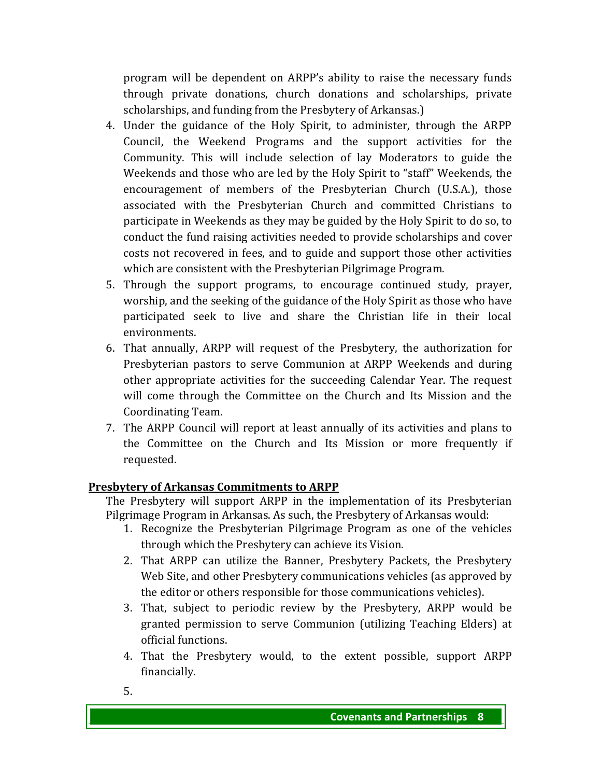program will be dependent on ARPP's ability to raise the necessary funds through private donations, church donations and scholarships, private scholarships, and funding from the Presbytery of Arkansas.)

- 4. Under the guidance of the Holy Spirit, to administer, through the ARPP Council, the Weekend Programs and the support activities for the Community. This will include selection of lay Moderators to guide the Weekends and those who are led by the Holy Spirit to "staff" Weekends, the encouragement of members of the Presbyterian Church (U.S.A.), those associated with the Presbyterian Church and committed Christians to participate in Weekends as they may be guided by the Holy Spirit to do so, to conduct the fund raising activities needed to provide scholarships and cover costs not recovered in fees, and to guide and support those other activities which are consistent with the Presbyterian Pilgrimage Program.
- 5. Through the support programs, to encourage continued study, prayer, worship, and the seeking of the guidance of the Holy Spirit as those who have participated seek to live and share the Christian life in their local environments.
- 6. That annually, ARPP will request of the Presbytery, the authorization for Presbyterian pastors to serve Communion at ARPP Weekends and during other appropriate activities for the succeeding Calendar Year. The request will come through the Committee on the Church and Its Mission and the Coordinating Team.
- 7. The ARPP Council will report at least annually of its activities and plans to the Committee on the Church and Its Mission or more frequently if requested.

#### **Presbytery of Arkansas Commitments to ARPP**

The Presbytery will support ARPP in the implementation of its Presbyterian Pilgrimage Program in Arkansas. As such, the Presbytery of Arkansas would:

- 1. Recognize the Presbyterian Pilgrimage Program as one of the vehicles through which the Presbytery can achieve its Vision.
- 2. That ARPP can utilize the Banner, Presbytery Packets, the Presbytery Web Site, and other Presbytery communications vehicles (as approved by the editor or others responsible for those communications vehicles).
- 3. That, subject to periodic review by the Presbytery, ARPP would be granted permission to serve Communion (utilizing Teaching Elders) at official functions.
- 4. That the Presbytery would, to the extent possible, support ARPP financially.
- 5.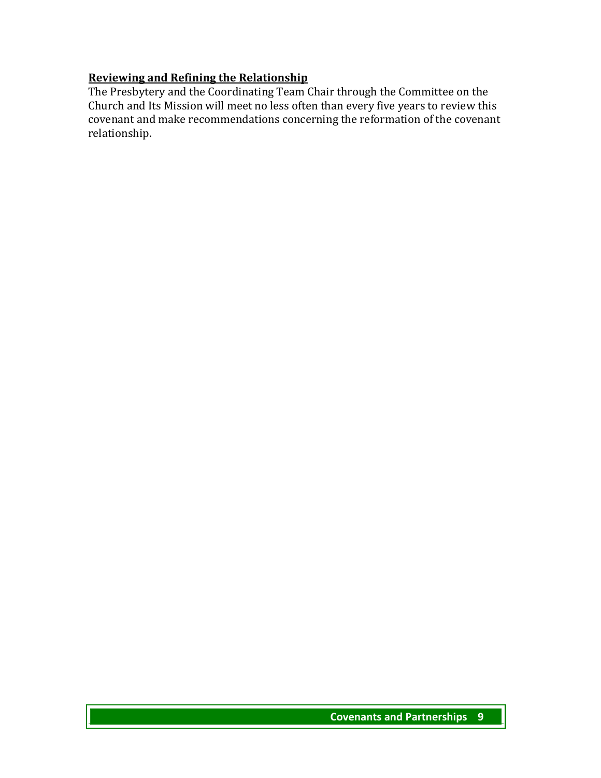### **Reviewing and Refining the Relationship**

The Presbytery and the Coordinating Team Chair through the Committee on the Church and Its Mission will meet no less often than every five years to review this covenant and make recommendations concerning the reformation of the covenant relationship.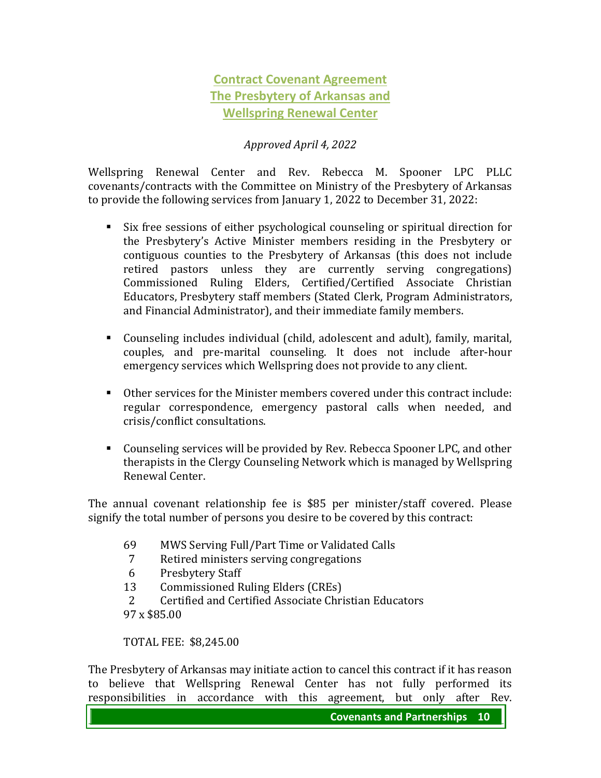# **Contract Covenant Agreement The Presbytery of Arkansas and Wellspring Renewal Center**

#### *Approved April 4, 2022*

Wellspring Renewal Center and Rev. Rebecca M. Spooner LPC PLLC covenants/contracts with the Committee on Ministry of the Presbytery of Arkansas to provide the following services from January 1, 2022 to December 31, 2022:

- Six free sessions of either psychological counseling or spiritual direction for the Presbytery's Active Minister members residing in the Presbytery or contiguous counties to the Presbytery of Arkansas (this does not include retired pastors unless they are currently serving congregations) Commissioned Ruling Elders, Certified/Certified Associate Christian Educators, Presbytery staff members (Stated Clerk, Program Administrators, and Financial Administrator), and their immediate family members.
- Counseling includes individual (child, adolescent and adult), family, marital, couples, and pre-marital counseling. It does not include after-hour emergency services which Wellspring does not provide to any client.
- Other services for the Minister members covered under this contract include: regular correspondence, emergency pastoral calls when needed, and crisis/conflict consultations.
- Counseling services will be provided by Rev. Rebecca Spooner LPC, and other therapists in the Clergy Counseling Network which is managed by Wellspring Renewal Center.

The annual covenant relationship fee is \$85 per minister/staff covered. Please signify the total number of persons you desire to be covered by this contract:

- 69 MWS Serving Full/Part Time or Validated Calls
- 7 Retired ministers serving congregations
- 6 Presbytery Staff
- 13 Commissioned Ruling Elders (CREs)
- 2 Certified and Certified Associate Christian Educators
- 97 x \$85.00

TOTAL FEE: \$8,245.00

The Presbytery of Arkansas may initiate action to cancel this contract if it has reason to believe that Wellspring Renewal Center has not fully performed its responsibilities in accordance with this agreement, but only after Rev.